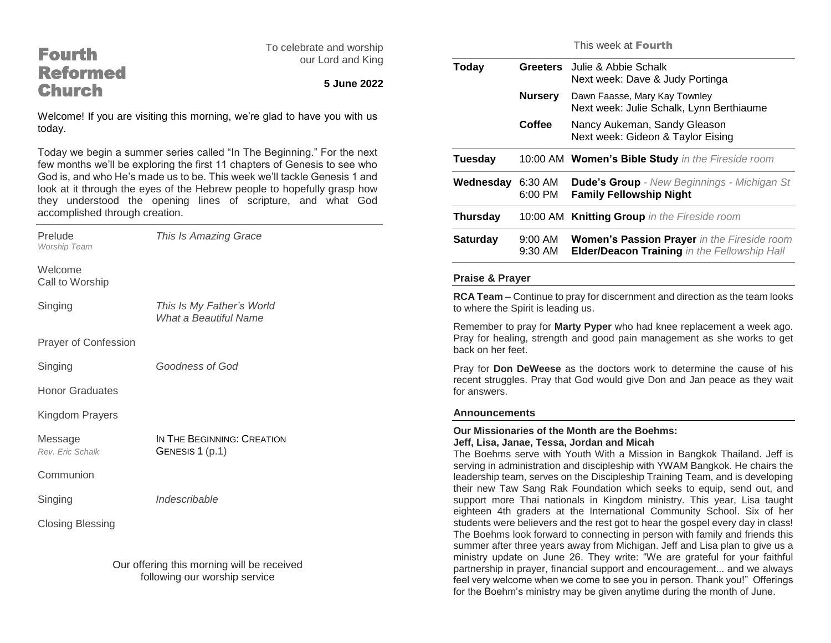# Fourth Reformed **Church**

To celebrate and worship our Lord and King

# **5 June 2022**

Welcome! If you are visiting this morning, we're glad to have you with us today.

Today we begin a summer series called "In The Beginning." For the next few months we'll be exploring the first 11 chapters of Genesis to see who God is, and who He's made us to be. This week we'll tackle Genesis 1 and look at it through the eyes of the Hebrew people to hopefully grasp how they understood the opening lines of scripture, and what God accomplished through creation.

| Prelude<br>Worship Team                                                     | This Is Amazing Grace                              |  |
|-----------------------------------------------------------------------------|----------------------------------------------------|--|
| Welcome<br>Call to Worship                                                  |                                                    |  |
| Singing                                                                     | This Is My Father's World<br>What a Beautiful Name |  |
| <b>Prayer of Confession</b>                                                 |                                                    |  |
| Singing                                                                     | Goodness of God                                    |  |
| <b>Honor Graduates</b>                                                      |                                                    |  |
| Kingdom Prayers                                                             |                                                    |  |
| Message<br>Rev. Eric Schalk                                                 | IN THE BEGINNING: CREATION<br>GENESIS 1 (p.1)      |  |
| Communion                                                                   |                                                    |  |
| Singing                                                                     | Indescribable                                      |  |
| <b>Closing Blessing</b>                                                     |                                                    |  |
| Our offering this morning will be received<br>following our worship service |                                                    |  |

This week at Fourth

| <b>Greeters</b>      | Julie & Abbie Schalk<br>Next week: Dave & Judy Portinga                                                   |
|----------------------|-----------------------------------------------------------------------------------------------------------|
| <b>Nursery</b>       | Dawn Faasse, Mary Kay Townley<br>Next week: Julie Schalk, Lynn Berthiaume                                 |
| Coffee               | Nancy Aukeman, Sandy Gleason<br>Next week: Gideon & Taylor Eising                                         |
|                      | 10:00 AM Women's Bible Study in the Fireside room                                                         |
| 6:30 AM<br>$6:00$ PM | <b>Dude's Group</b> - New Beginnings - Michigan St<br><b>Family Fellowship Night</b>                      |
|                      | 10:00 AM Knitting Group in the Fireside room                                                              |
| $9:00$ AM<br>9:30 AM | <b>Women's Passion Prayer</b> in the Fireside room<br><b>Elder/Deacon Training in the Fellowship Hall</b> |
|                      |                                                                                                           |

#### **Praise & Prayer**

**RCA Team** – Continue to pray for discernment and direction as the team looks to where the Spirit is leading us.

Remember to pray for **Marty Pyper** who had knee replacement a week ago. Pray for healing, strength and good pain management as she works to get back on her feet.

Pray for **Don DeWeese** as the doctors work to determine the cause of his recent struggles. Pray that God would give Don and Jan peace as they wait for answers.

### **Announcements**

#### **Our Missionaries of the Month are the Boehms: Jeff, Lisa, Janae, Tessa, Jordan and Micah**

The Boehms serve with Youth With a Mission in Bangkok Thailand. Jeff is serving in administration and discipleship with YWAM Bangkok. He chairs the leadership team, serves on the Discipleship Training Team, and is developing their new Taw Sang Rak Foundation which seeks to equip, send out, and support more Thai nationals in Kingdom ministry. This year, Lisa taught eighteen 4th graders at the International Community School. Six of her students were believers and the rest got to hear the gospel every day in class! The Boehms look forward to connecting in person with family and friends this summer after three years away from Michigan. Jeff and Lisa plan to give us a ministry update on June 26. They write: "We are grateful for your faithful partnership in prayer, financial support and encouragement... and we always feel very welcome when we come to see you in person. Thank you!" Offerings for the Boehm's ministry may be given anytime during the month of June.